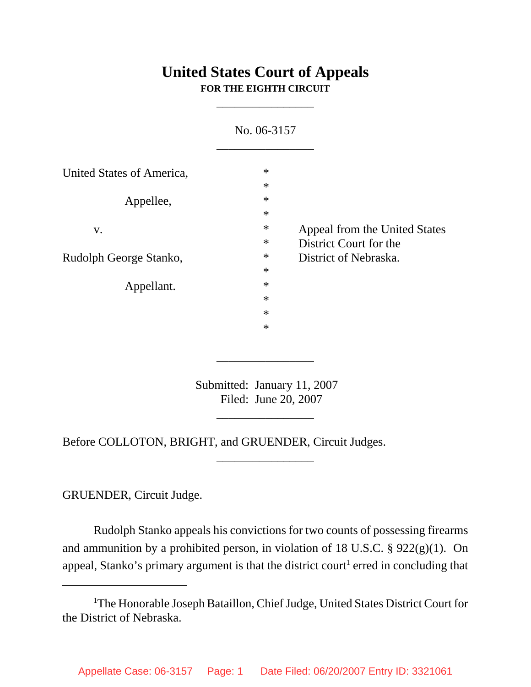# **United States Court of Appeals FOR THE EIGHTH CIRCUIT**

\_\_\_\_\_\_\_\_\_\_\_\_\_\_\_\_

|                                        | No. 06-3157                          |                                                                                  |
|----------------------------------------|--------------------------------------|----------------------------------------------------------------------------------|
| United States of America,<br>Appellee, | $\ast$<br>$\ast$<br>$\ast$           | Appeal from the United States<br>District Court for the<br>District of Nebraska. |
| V.<br>Rudolph George Stanko,           | $\ast$<br>$\ast$<br>$\ast$<br>$\ast$ |                                                                                  |
| Appellant.                             | $\ast$<br>$\ast$<br>$\ast$<br>$\ast$ |                                                                                  |
|                                        | $\ast$                               |                                                                                  |

 Submitted: January 11, 2007 Filed: June 20, 2007

\_\_\_\_\_\_\_\_\_\_\_\_\_\_\_\_

\_\_\_\_\_\_\_\_\_\_\_\_\_\_\_\_

\_\_\_\_\_\_\_\_\_\_\_\_\_\_\_\_

Before COLLOTON, BRIGHT, and GRUENDER, Circuit Judges.

GRUENDER, Circuit Judge.

Rudolph Stanko appeals his convictions for two counts of possessing firearms and ammunition by a prohibited person, in violation of 18 U.S.C. § 922(g)(1). On appeal, Stanko's primary argument is that the district court<sup>1</sup> erred in concluding that

<sup>&</sup>lt;sup>1</sup>The Honorable Joseph Bataillon, Chief Judge, United States District Court for the District of Nebraska.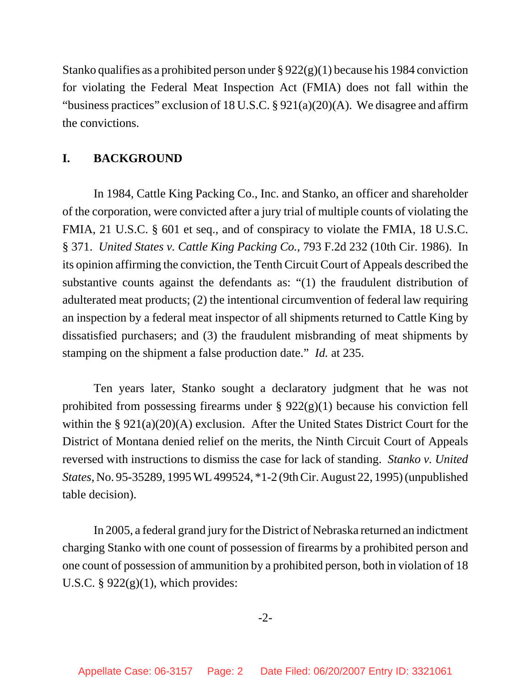Stanko qualifies as a prohibited person under  $\S 922(g)(1)$  because his 1984 conviction for violating the Federal Meat Inspection Act (FMIA) does not fall within the "business practices" exclusion of 18 U.S.C.  $\S 921(a)(20)(A)$ . We disagree and affirm the convictions.

### **I. BACKGROUND**

In 1984, Cattle King Packing Co., Inc. and Stanko, an officer and shareholder of the corporation, were convicted after a jury trial of multiple counts of violating the FMIA, 21 U.S.C. § 601 et seq., and of conspiracy to violate the FMIA, 18 U.S.C. § 371. *United States v. Cattle King Packing Co.*, 793 F.2d 232 (10th Cir. 1986). In its opinion affirming the conviction, the Tenth Circuit Court of Appeals described the substantive counts against the defendants as: "(1) the fraudulent distribution of adulterated meat products; (2) the intentional circumvention of federal law requiring an inspection by a federal meat inspector of all shipments returned to Cattle King by dissatisfied purchasers; and (3) the fraudulent misbranding of meat shipments by stamping on the shipment a false production date." *Id.* at 235.

Ten years later, Stanko sought a declaratory judgment that he was not prohibited from possessing firearms under  $\S 922(g)(1)$  because his conviction fell within the § 921(a)(20)(A) exclusion. After the United States District Court for the District of Montana denied relief on the merits, the Ninth Circuit Court of Appeals reversed with instructions to dismiss the case for lack of standing. *Stanko v. United States*, No. 95-35289, 1995 WL 499524, \*1-2 (9th Cir. August 22, 1995) (unpublished table decision).

In 2005, a federal grand jury for the District of Nebraska returned an indictment charging Stanko with one count of possession of firearms by a prohibited person and one count of possession of ammunition by a prohibited person, both in violation of 18 U.S.C.  $\S 922(g)(1)$ , which provides:

-2-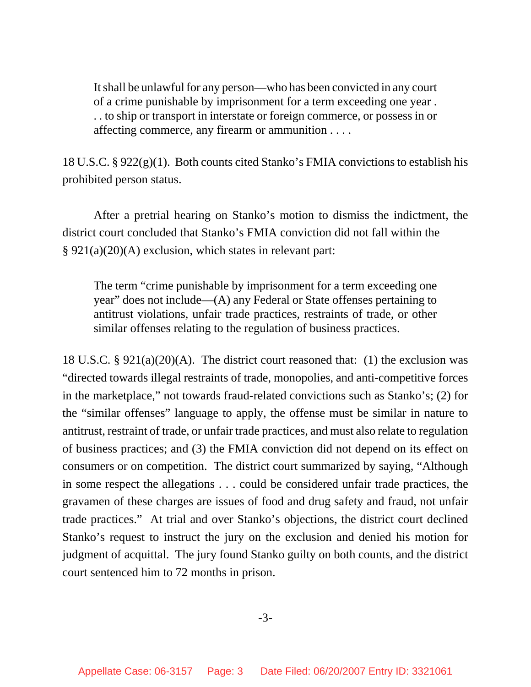It shall be unlawful for any person—who has been convicted in any court of a crime punishable by imprisonment for a term exceeding one year . . . to ship or transport in interstate or foreign commerce, or possess in or affecting commerce, any firearm or ammunition . . . .

18 U.S.C. § 922(g)(1). Both counts cited Stanko's FMIA convictions to establish his prohibited person status.

After a pretrial hearing on Stanko's motion to dismiss the indictment, the district court concluded that Stanko's FMIA conviction did not fall within the § 921(a)(20)(A) exclusion, which states in relevant part:

The term "crime punishable by imprisonment for a term exceeding one year" does not include—(A) any Federal or State offenses pertaining to antitrust violations, unfair trade practices, restraints of trade, or other similar offenses relating to the regulation of business practices.

18 U.S.C. § 921(a)(20)(A). The district court reasoned that: (1) the exclusion was "directed towards illegal restraints of trade, monopolies, and anti-competitive forces in the marketplace," not towards fraud-related convictions such as Stanko's; (2) for the "similar offenses" language to apply, the offense must be similar in nature to antitrust, restraint of trade, or unfair trade practices, and must also relate to regulation of business practices; and (3) the FMIA conviction did not depend on its effect on consumers or on competition. The district court summarized by saying, "Although in some respect the allegations . . . could be considered unfair trade practices, the gravamen of these charges are issues of food and drug safety and fraud, not unfair trade practices." At trial and over Stanko's objections, the district court declined Stanko's request to instruct the jury on the exclusion and denied his motion for judgment of acquittal. The jury found Stanko guilty on both counts, and the district court sentenced him to 72 months in prison.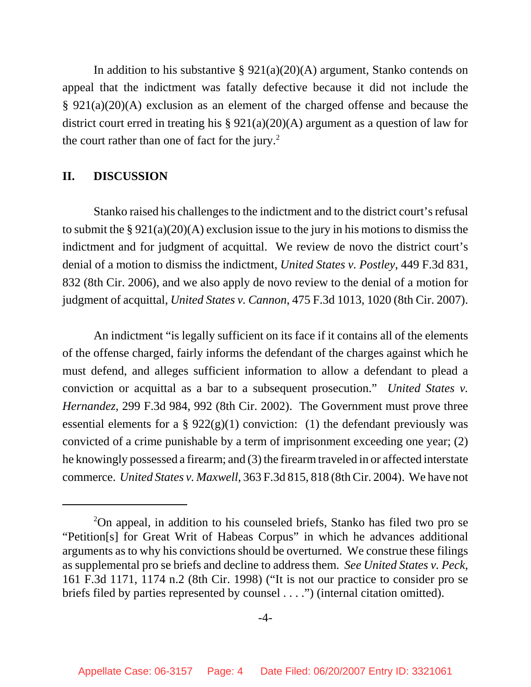In addition to his substantive  $\S 921(a)(20)(A)$  argument, Stanko contends on appeal that the indictment was fatally defective because it did not include the § 921(a)(20)(A) exclusion as an element of the charged offense and because the district court erred in treating his § 921(a)(20)(A) argument as a question of law for the court rather than one of fact for the jury. $^2$ 

## **II. DISCUSSION**

Stanko raised his challenges to the indictment and to the district court's refusal to submit the  $\S 921(a)(20)(A)$  exclusion issue to the jury in his motions to dismiss the indictment and for judgment of acquittal. We review de novo the district court's denial of a motion to dismiss the indictment, *United States v. Postley*, 449 F.3d 831, 832 (8th Cir. 2006), and we also apply de novo review to the denial of a motion for judgment of acquittal, *United States v. Cannon*, 475 F.3d 1013, 1020 (8th Cir. 2007).

An indictment "is legally sufficient on its face if it contains all of the elements of the offense charged, fairly informs the defendant of the charges against which he must defend, and alleges sufficient information to allow a defendant to plead a conviction or acquittal as a bar to a subsequent prosecution." *United States v. Hernandez*, 299 F.3d 984, 992 (8th Cir. 2002). The Government must prove three essential elements for a  $\S 922(g)(1)$  conviction: (1) the defendant previously was convicted of a crime punishable by a term of imprisonment exceeding one year; (2) he knowingly possessed a firearm; and (3) the firearm traveled in or affected interstate commerce. *United States v. Maxwell*, 363 F.3d 815, 818 (8th Cir. 2004). We have not

<sup>&</sup>lt;sup>2</sup>On appeal, in addition to his counseled briefs, Stanko has filed two pro se "Petition[s] for Great Writ of Habeas Corpus" in which he advances additional arguments as to why his convictions should be overturned. We construe these filings as supplemental pro se briefs and decline to address them. *See United States v. Peck*, 161 F.3d 1171, 1174 n.2 (8th Cir. 1998) ("It is not our practice to consider pro se briefs filed by parties represented by counsel . . . .") (internal citation omitted).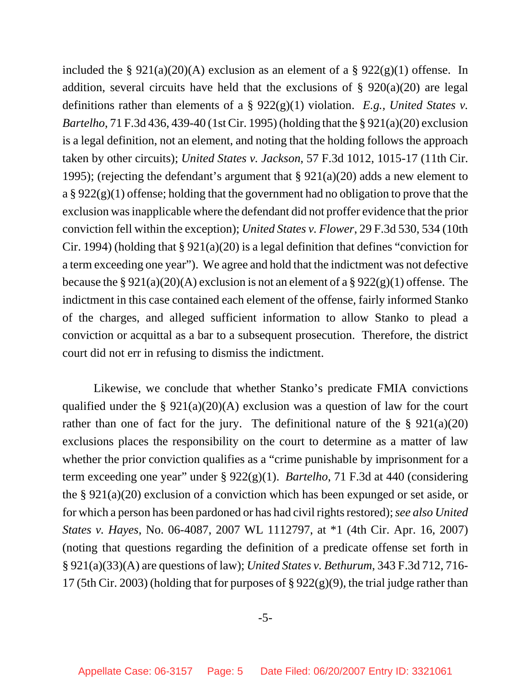included the §  $921(a)(20)(A)$  exclusion as an element of a §  $922(g)(1)$  offense. In addition, several circuits have held that the exclusions of  $\S$  920(a)(20) are legal definitions rather than elements of a § 922(g)(1) violation. *E.g., United States v. Bartelho*, 71 F.3d 436, 439-40 (1st Cir. 1995) (holding that the § 921(a)(20) exclusion is a legal definition, not an element, and noting that the holding follows the approach taken by other circuits); *United States v. Jackson*, 57 F.3d 1012, 1015-17 (11th Cir. 1995); (rejecting the defendant's argument that  $\S 921(a)(20)$  adds a new element to a § 922(g)(1) offense; holding that the government had no obligation to prove that the exclusion was inapplicable where the defendant did not proffer evidence that the prior conviction fell within the exception); *United States v. Flower*, 29 F.3d 530, 534 (10th Cir. 1994) (holding that § 921(a)(20) is a legal definition that defines "conviction for a term exceeding one year"). We agree and hold that the indictment was not defective because the §  $921(a)(20)(A)$  exclusion is not an element of a §  $922(g)(1)$  offense. The indictment in this case contained each element of the offense, fairly informed Stanko of the charges, and alleged sufficient information to allow Stanko to plead a conviction or acquittal as a bar to a subsequent prosecution. Therefore, the district court did not err in refusing to dismiss the indictment.

Likewise, we conclude that whether Stanko's predicate FMIA convictions qualified under the  $\S 921(a)(20)(A)$  exclusion was a question of law for the court rather than one of fact for the jury. The definitional nature of the  $\S 921(a)(20)$ exclusions places the responsibility on the court to determine as a matter of law whether the prior conviction qualifies as a "crime punishable by imprisonment for a term exceeding one year" under § 922(g)(1). *Bartelho*, 71 F.3d at 440 (considering the § 921(a)(20) exclusion of a conviction which has been expunged or set aside, or for which a person has been pardoned or has had civil rights restored); *see also United States v. Hayes*, No. 06-4087, 2007 WL 1112797, at \*1 (4th Cir. Apr. 16, 2007) (noting that questions regarding the definition of a predicate offense set forth in § 921(a)(33)(A) are questions of law); *United States v. Bethurum*, 343 F.3d 712, 716- 17 (5th Cir. 2003) (holding that for purposes of § 922(g)(9), the trial judge rather than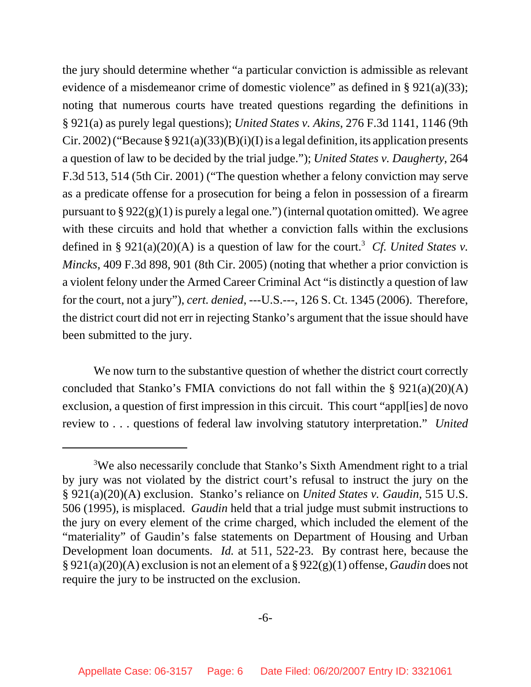the jury should determine whether "a particular conviction is admissible as relevant evidence of a misdemeanor crime of domestic violence" as defined in § 921(a)(33); noting that numerous courts have treated questions regarding the definitions in § 921(a) as purely legal questions); *United States v. Akins*, 276 F.3d 1141, 1146 (9th Cir. 2002) ("Because  $\S 921(a)(33)(B)(i)(I)$  is a legal definition, its application presents a question of law to be decided by the trial judge."); *United States v. Daugherty*, 264 F.3d 513, 514 (5th Cir. 2001) ("The question whether a felony conviction may serve as a predicate offense for a prosecution for being a felon in possession of a firearm pursuant to  $\S 922(g)(1)$  is purely a legal one.") (internal quotation omitted). We agree with these circuits and hold that whether a conviction falls within the exclusions defined in §  $921(a)(20)(A)$  is a question of law for the court.<sup>3</sup> Cf. United States v. *Mincks*, 409 F.3d 898, 901 (8th Cir. 2005) (noting that whether a prior conviction is a violent felony under the Armed Career Criminal Act "is distinctly a question of law for the court, not a jury"), *cert. denied*, ---U.S.---, 126 S. Ct. 1345 (2006). Therefore, the district court did not err in rejecting Stanko's argument that the issue should have been submitted to the jury.

We now turn to the substantive question of whether the district court correctly concluded that Stanko's FMIA convictions do not fall within the § 921(a)(20)(A) exclusion, a question of first impression in this circuit. This court "appl[ies] de novo review to . . . questions of federal law involving statutory interpretation." *United*

<sup>&</sup>lt;sup>3</sup>We also necessarily conclude that Stanko's Sixth Amendment right to a trial by jury was not violated by the district court's refusal to instruct the jury on the § 921(a)(20)(A) exclusion. Stanko's reliance on *United States v. Gaudin*, 515 U.S. 506 (1995), is misplaced. *Gaudin* held that a trial judge must submit instructions to the jury on every element of the crime charged, which included the element of the "materiality" of Gaudin's false statements on Department of Housing and Urban Development loan documents. *Id.* at 511, 522-23. By contrast here, because the § 921(a)(20)(A) exclusion is not an element of a § 922(g)(1) offense, *Gaudin* does not require the jury to be instructed on the exclusion.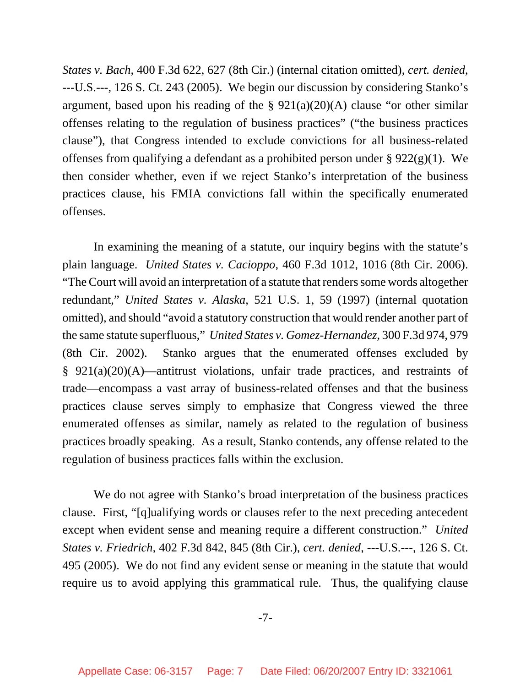*States v. Bach*, 400 F.3d 622, 627 (8th Cir.) (internal citation omitted), *cert. denied*, ---U.S.---, 126 S. Ct. 243 (2005). We begin our discussion by considering Stanko's argument, based upon his reading of the  $\S$  921(a)(20)(A) clause "or other similar offenses relating to the regulation of business practices" ("the business practices clause"), that Congress intended to exclude convictions for all business-related offenses from qualifying a defendant as a prohibited person under § 922(g)(1). We then consider whether, even if we reject Stanko's interpretation of the business practices clause, his FMIA convictions fall within the specifically enumerated offenses.

In examining the meaning of a statute, our inquiry begins with the statute's plain language. *United States v. Cacioppo*, 460 F.3d 1012, 1016 (8th Cir. 2006). "The Court will avoid an interpretation of a statute that renders some words altogether redundant," *United States v. Alaska*, 521 U.S. 1, 59 (1997) (internal quotation omitted), and should "avoid a statutory construction that would render another part of the same statute superfluous," *United States v. Gomez-Hernandez*, 300 F.3d 974, 979 (8th Cir. 2002). Stanko argues that the enumerated offenses excluded by § 921(a)(20)(A)—antitrust violations, unfair trade practices, and restraints of trade—encompass a vast array of business-related offenses and that the business practices clause serves simply to emphasize that Congress viewed the three enumerated offenses as similar, namely as related to the regulation of business practices broadly speaking. As a result, Stanko contends, any offense related to the regulation of business practices falls within the exclusion.

We do not agree with Stanko's broad interpretation of the business practices clause. First, "[q]ualifying words or clauses refer to the next preceding antecedent except when evident sense and meaning require a different construction." *United States v. Friedrich,* 402 F.3d 842, 845 (8th Cir.), *cert. denied*, ---U.S.---, 126 S. Ct. 495 (2005). We do not find any evident sense or meaning in the statute that would require us to avoid applying this grammatical rule. Thus, the qualifying clause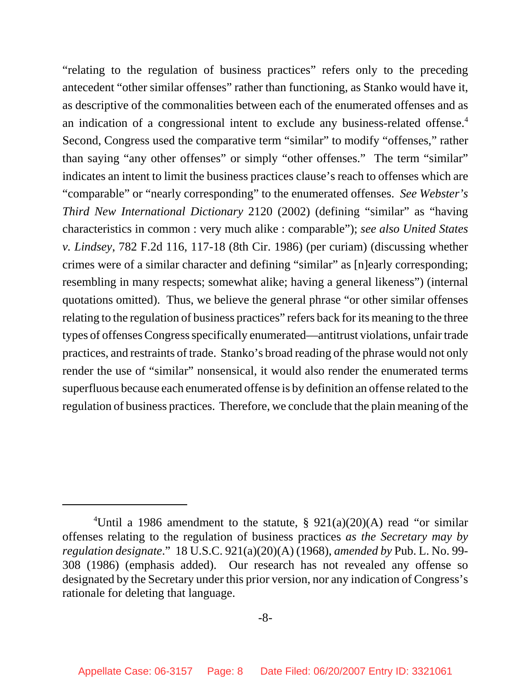"relating to the regulation of business practices" refers only to the preceding antecedent "other similar offenses" rather than functioning, as Stanko would have it, as descriptive of the commonalities between each of the enumerated offenses and as an indication of a congressional intent to exclude any business-related offense.<sup>4</sup> Second, Congress used the comparative term "similar" to modify "offenses," rather than saying "any other offenses" or simply "other offenses." The term "similar" indicates an intent to limit the business practices clause's reach to offenses which are "comparable" or "nearly corresponding" to the enumerated offenses. *See Webster's Third New International Dictionary* 2120 (2002) (defining "similar" as "having characteristics in common : very much alike : comparable"); *see also United States v. Lindsey*, 782 F.2d 116, 117-18 (8th Cir. 1986) (per curiam) (discussing whether crimes were of a similar character and defining "similar" as [n]early corresponding; resembling in many respects; somewhat alike; having a general likeness") (internal quotations omitted). Thus, we believe the general phrase "or other similar offenses relating to the regulation of business practices" refers back for its meaning to the three types of offenses Congress specifically enumerated—antitrust violations, unfair trade practices, and restraints of trade. Stanko's broad reading of the phrase would not only render the use of "similar" nonsensical, it would also render the enumerated terms superfluous because each enumerated offense is by definition an offense related to the regulation of business practices. Therefore, we conclude that the plain meaning of the

<sup>&</sup>lt;sup>4</sup>Until a 1986 amendment to the statute,  $\S$  921(a)(20)(A) read "or similar offenses relating to the regulation of business practices *as the Secretary may by regulation designate*." 18 U.S.C. 921(a)(20)(A) (1968), *amended by* Pub. L. No. 99- 308 (1986) (emphasis added). Our research has not revealed any offense so designated by the Secretary under this prior version, nor any indication of Congress's rationale for deleting that language.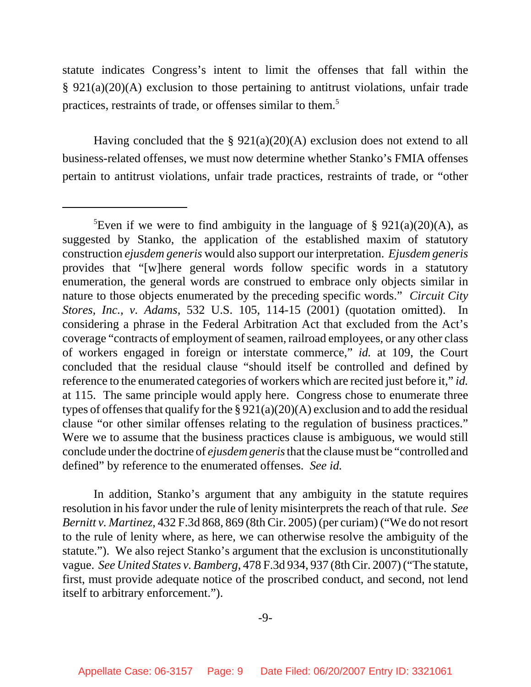statute indicates Congress's intent to limit the offenses that fall within the § 921(a)(20)(A) exclusion to those pertaining to antitrust violations, unfair trade practices, restraints of trade, or offenses similar to them.5

Having concluded that the § 921(a)(20)(A) exclusion does not extend to all business-related offenses, we must now determine whether Stanko's FMIA offenses pertain to antitrust violations, unfair trade practices, restraints of trade, or "other

In addition, Stanko's argument that any ambiguity in the statute requires resolution in his favor under the rule of lenity misinterprets the reach of that rule. *See Bernitt v. Martinez*, 432 F.3d 868, 869 (8th Cir. 2005) (per curiam) ("We do not resort to the rule of lenity where, as here, we can otherwise resolve the ambiguity of the statute."). We also reject Stanko's argument that the exclusion is unconstitutionally vague. *See United States v. Bamberg*, 478 F.3d 934, 937 (8th Cir. 2007) ("The statute, first, must provide adequate notice of the proscribed conduct, and second, not lend itself to arbitrary enforcement.").

<sup>&</sup>lt;sup>5</sup>Even if we were to find ambiguity in the language of § 921(a)(20)(A), as suggested by Stanko, the application of the established maxim of statutory construction *ejusdem generis* would also support our interpretation. *Ejusdem generis* provides that "[w]here general words follow specific words in a statutory enumeration, the general words are construed to embrace only objects similar in nature to those objects enumerated by the preceding specific words." *Circuit City Stores, Inc., v. Adams*, 532 U.S. 105, 114-15 (2001) (quotation omitted). In considering a phrase in the Federal Arbitration Act that excluded from the Act's coverage "contracts of employment of seamen, railroad employees, or any other class of workers engaged in foreign or interstate commerce," *id.* at 109, the Court concluded that the residual clause "should itself be controlled and defined by reference to the enumerated categories of workers which are recited just before it," *id.* at 115. The same principle would apply here. Congress chose to enumerate three types of offenses that qualify for the §  $921(a)(20)(A)$  exclusion and to add the residual clause "or other similar offenses relating to the regulation of business practices." Were we to assume that the business practices clause is ambiguous, we would still conclude under the doctrine of *ejusdem generis* that the clause must be "controlled and defined" by reference to the enumerated offenses. *See id.*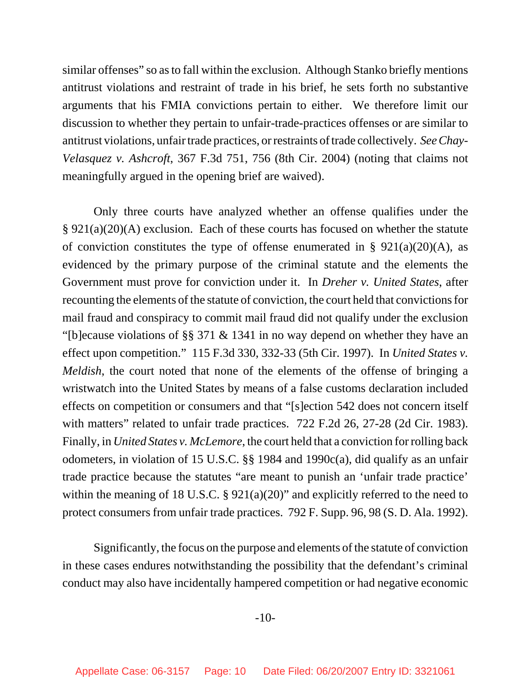similar offenses" so as to fall within the exclusion. Although Stanko briefly mentions antitrust violations and restraint of trade in his brief, he sets forth no substantive arguments that his FMIA convictions pertain to either. We therefore limit our discussion to whether they pertain to unfair-trade-practices offenses or are similar to antitrust violations, unfair trade practices, or restraints of trade collectively. *See Chay-Velasquez v. Ashcroft*, 367 F.3d 751, 756 (8th Cir. 2004) (noting that claims not meaningfully argued in the opening brief are waived).

Only three courts have analyzed whether an offense qualifies under the § 921(a)(20)(A) exclusion. Each of these courts has focused on whether the statute of conviction constitutes the type of offense enumerated in §  $921(a)(20)(A)$ , as evidenced by the primary purpose of the criminal statute and the elements the Government must prove for conviction under it. In *Dreher v. United States*, after recounting the elements of the statute of conviction, the court held that convictions for mail fraud and conspiracy to commit mail fraud did not qualify under the exclusion "[b]ecause violations of §§ 371 & 1341 in no way depend on whether they have an effect upon competition." 115 F.3d 330, 332-33 (5th Cir. 1997). In *United States v. Meldish*, the court noted that none of the elements of the offense of bringing a wristwatch into the United States by means of a false customs declaration included effects on competition or consumers and that "[s]ection 542 does not concern itself with matters" related to unfair trade practices. 722 F.2d 26, 27-28 (2d Cir. 1983). Finally, in *United States v. McLemore*, the court held that a conviction for rolling back odometers, in violation of 15 U.S.C. §§ 1984 and 1990c(a), did qualify as an unfair trade practice because the statutes "are meant to punish an 'unfair trade practice' within the meaning of 18 U.S.C. § 921(a)(20)" and explicitly referred to the need to protect consumers from unfair trade practices. 792 F. Supp. 96, 98 (S. D. Ala. 1992).

Significantly, the focus on the purpose and elements of the statute of conviction in these cases endures notwithstanding the possibility that the defendant's criminal conduct may also have incidentally hampered competition or had negative economic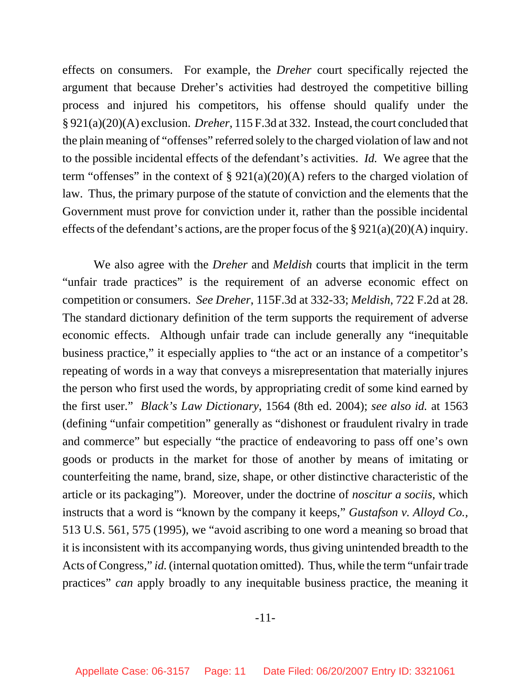effects on consumers. For example, the *Dreher* court specifically rejected the argument that because Dreher's activities had destroyed the competitive billing process and injured his competitors, his offense should qualify under the § 921(a)(20)(A) exclusion. *Dreher*, 115 F.3d at 332. Instead, the court concluded that the plain meaning of "offenses" referred solely to the charged violation of law and not to the possible incidental effects of the defendant's activities. *Id.* We agree that the term "offenses" in the context of  $\S 921(a)(20)(A)$  refers to the charged violation of law. Thus, the primary purpose of the statute of conviction and the elements that the Government must prove for conviction under it, rather than the possible incidental effects of the defendant's actions, are the proper focus of the  $\S 921(a)(20)(A)$  inquiry.

We also agree with the *Dreher* and *Meldish* courts that implicit in the term "unfair trade practices" is the requirement of an adverse economic effect on competition or consumers. *See Dreher*, 115F.3d at 332-33; *Meldish*, 722 F.2d at 28. The standard dictionary definition of the term supports the requirement of adverse economic effects. Although unfair trade can include generally any "inequitable business practice," it especially applies to "the act or an instance of a competitor's repeating of words in a way that conveys a misrepresentation that materially injures the person who first used the words, by appropriating credit of some kind earned by the first user." *Black's Law Dictionary*, 1564 (8th ed. 2004); *see also id.* at 1563 (defining "unfair competition" generally as "dishonest or fraudulent rivalry in trade and commerce" but especially "the practice of endeavoring to pass off one's own goods or products in the market for those of another by means of imitating or counterfeiting the name, brand, size, shape, or other distinctive characteristic of the article or its packaging"). Moreover, under the doctrine of *noscitur a sociis*, which instructs that a word is "known by the company it keeps," *Gustafson v. Alloyd Co.,* 513 U.S. 561, 575 (1995), we "avoid ascribing to one word a meaning so broad that it is inconsistent with its accompanying words, thus giving unintended breadth to the Acts of Congress," *id.* (internal quotation omitted). Thus, while the term "unfair trade practices" *can* apply broadly to any inequitable business practice, the meaning it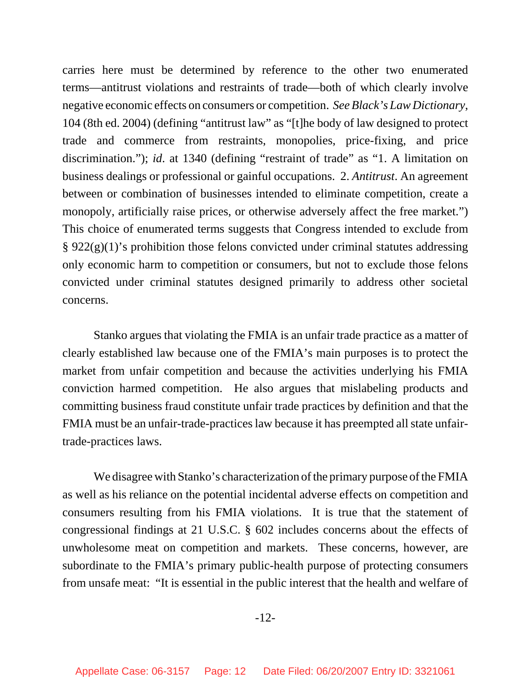carries here must be determined by reference to the other two enumerated terms—antitrust violations and restraints of trade—both of which clearly involve negative economic effects on consumers or competition. *SeeBlack's Law Dictionary*, 104 (8th ed. 2004) (defining "antitrust law" as "[t]he body of law designed to protect trade and commerce from restraints, monopolies, price-fixing, and price discrimination."); *id.* at 1340 (defining "restraint of trade" as "1. A limitation on business dealings or professional or gainful occupations. 2. *Antitrust*. An agreement between or combination of businesses intended to eliminate competition, create a monopoly, artificially raise prices, or otherwise adversely affect the free market.") This choice of enumerated terms suggests that Congress intended to exclude from § 922(g)(1)'s prohibition those felons convicted under criminal statutes addressing only economic harm to competition or consumers, but not to exclude those felons convicted under criminal statutes designed primarily to address other societal concerns.

Stanko argues that violating the FMIA is an unfair trade practice as a matter of clearly established law because one of the FMIA's main purposes is to protect the market from unfair competition and because the activities underlying his FMIA conviction harmed competition. He also argues that mislabeling products and committing business fraud constitute unfair trade practices by definition and that the FMIA must be an unfair-trade-practices law because it has preempted all state unfairtrade-practices laws.

We disagree with Stanko's characterization of the primary purpose of the FMIA as well as his reliance on the potential incidental adverse effects on competition and consumers resulting from his FMIA violations. It is true that the statement of congressional findings at 21 U.S.C. § 602 includes concerns about the effects of unwholesome meat on competition and markets. These concerns, however, are subordinate to the FMIA's primary public-health purpose of protecting consumers from unsafe meat: "It is essential in the public interest that the health and welfare of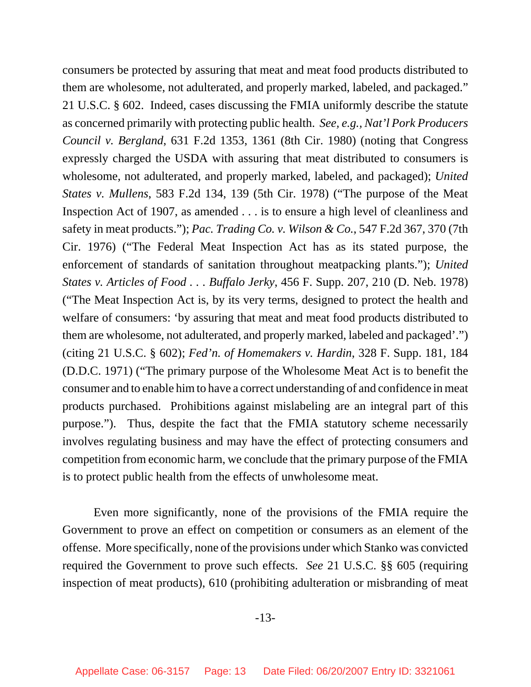consumers be protected by assuring that meat and meat food products distributed to them are wholesome, not adulterated, and properly marked, labeled, and packaged." 21 U.S.C. § 602. Indeed, cases discussing the FMIA uniformly describe the statute as concerned primarily with protecting public health. *See, e.g., Nat'l Pork Producers Council v. Bergland*, 631 F.2d 1353, 1361 (8th Cir. 1980) (noting that Congress expressly charged the USDA with assuring that meat distributed to consumers is wholesome, not adulterated, and properly marked, labeled, and packaged); *United States v. Mullens*, 583 F.2d 134, 139 (5th Cir. 1978) ("The purpose of the Meat Inspection Act of 1907, as amended . . . is to ensure a high level of cleanliness and safety in meat products."); *Pac. Trading Co. v. Wilson & Co.*, 547 F.2d 367, 370 (7th Cir. 1976) ("The Federal Meat Inspection Act has as its stated purpose, the enforcement of standards of sanitation throughout meatpacking plants."); *United States v. Articles of Food . . . Buffalo Jerky*, 456 F. Supp. 207, 210 (D. Neb. 1978) ("The Meat Inspection Act is, by its very terms, designed to protect the health and welfare of consumers: 'by assuring that meat and meat food products distributed to them are wholesome, not adulterated, and properly marked, labeled and packaged'.") (citing 21 U.S.C. § 602); *Fed'n. of Homemakers v. Hardin*, 328 F. Supp. 181, 184 (D.D.C. 1971) ("The primary purpose of the Wholesome Meat Act is to benefit the consumer and to enable him to have a correct understanding of and confidence in meat products purchased. Prohibitions against mislabeling are an integral part of this purpose."). Thus, despite the fact that the FMIA statutory scheme necessarily involves regulating business and may have the effect of protecting consumers and competition from economic harm, we conclude that the primary purpose of the FMIA is to protect public health from the effects of unwholesome meat.

Even more significantly, none of the provisions of the FMIA require the Government to prove an effect on competition or consumers as an element of the offense. More specifically, none of the provisions under which Stanko was convicted required the Government to prove such effects. *See* 21 U.S.C. §§ 605 (requiring inspection of meat products), 610 (prohibiting adulteration or misbranding of meat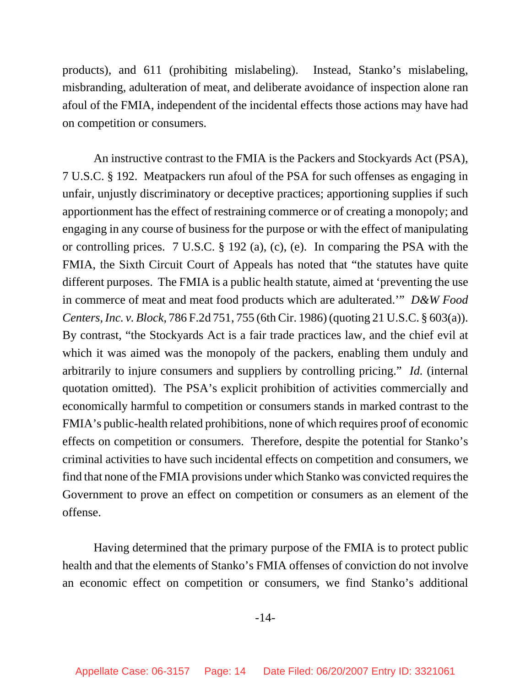products), and 611 (prohibiting mislabeling). Instead, Stanko's mislabeling, misbranding, adulteration of meat, and deliberate avoidance of inspection alone ran afoul of the FMIA, independent of the incidental effects those actions may have had on competition or consumers.

An instructive contrast to the FMIA is the Packers and Stockyards Act (PSA), 7 U.S.C. § 192. Meatpackers run afoul of the PSA for such offenses as engaging in unfair, unjustly discriminatory or deceptive practices; apportioning supplies if such apportionment has the effect of restraining commerce or of creating a monopoly; and engaging in any course of business for the purpose or with the effect of manipulating or controlling prices. 7 U.S.C. § 192 (a), (c), (e). In comparing the PSA with the FMIA, the Sixth Circuit Court of Appeals has noted that "the statutes have quite different purposes. The FMIA is a public health statute, aimed at 'preventing the use in commerce of meat and meat food products which are adulterated.'" *D&W Food Centers, Inc. v. Block*, 786 F.2d 751, 755 (6th Cir. 1986) (quoting 21 U.S.C. § 603(a)). By contrast, "the Stockyards Act is a fair trade practices law, and the chief evil at which it was aimed was the monopoly of the packers, enabling them unduly and arbitrarily to injure consumers and suppliers by controlling pricing." *Id.* (internal quotation omitted).The PSA's explicit prohibition of activities commercially and economically harmful to competition or consumers stands in marked contrast to the FMIA's public-health related prohibitions, none of which requires proof of economic effects on competition or consumers. Therefore, despite the potential for Stanko's criminal activities to have such incidental effects on competition and consumers, we find that none of the FMIA provisions under which Stanko was convicted requires the Government to prove an effect on competition or consumers as an element of the offense.

Having determined that the primary purpose of the FMIA is to protect public health and that the elements of Stanko's FMIA offenses of conviction do not involve an economic effect on competition or consumers, we find Stanko's additional

-14-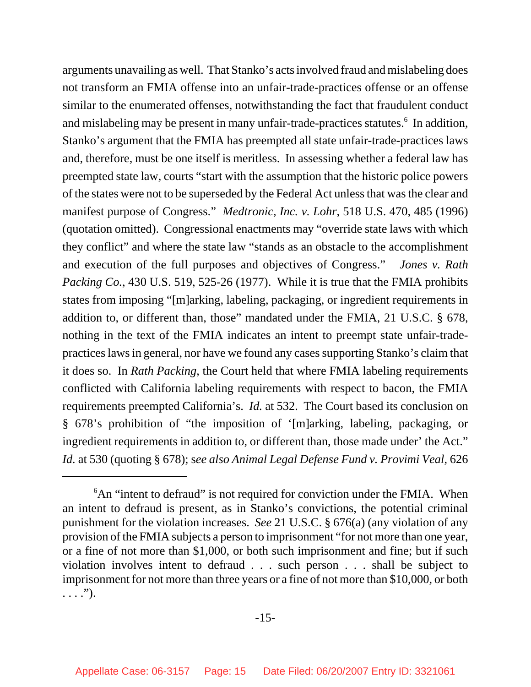arguments unavailing as well. That Stanko's acts involved fraud and mislabeling does not transform an FMIA offense into an unfair-trade-practices offense or an offense similar to the enumerated offenses, notwithstanding the fact that fraudulent conduct and mislabeling may be present in many unfair-trade-practices statutes.<sup>6</sup> In addition, Stanko's argument that the FMIA has preempted all state unfair-trade-practices laws and, therefore, must be one itself is meritless. In assessing whether a federal law has preempted state law, courts "start with the assumption that the historic police powers of the states were not to be superseded by the Federal Act unless that was the clear and manifest purpose of Congress." *Medtronic, Inc. v. Lohr*, 518 U.S. 470, 485 (1996) (quotation omitted). Congressional enactments may "override state laws with which they conflict" and where the state law "stands as an obstacle to the accomplishment and execution of the full purposes and objectives of Congress." *Jones v. Rath Packing Co.*, 430 U.S. 519, 525-26 (1977). While it is true that the FMIA prohibits states from imposing "[m]arking, labeling, packaging, or ingredient requirements in addition to, or different than, those" mandated under the FMIA, 21 U.S.C. § 678, nothing in the text of the FMIA indicates an intent to preempt state unfair-tradepractices laws in general, nor have we found any cases supporting Stanko's claim that it does so. In *Rath Packing*, the Court held that where FMIA labeling requirements conflicted with California labeling requirements with respect to bacon, the FMIA requirements preempted California's. *Id.* at 532. The Court based its conclusion on § 678's prohibition of "the imposition of '[m]arking, labeling, packaging, or ingredient requirements in addition to, or different than, those made under' the Act." *Id.* at 530 (quoting § 678); s*ee also Animal Legal Defense Fund v. Provimi Veal*, 626

 $6$ An "intent to defraud" is not required for conviction under the FMIA. When an intent to defraud is present, as in Stanko's convictions, the potential criminal punishment for the violation increases. *See* 21 U.S.C. § 676(a) (any violation of any provision of the FMIA subjects a person to imprisonment "for not more than one year, or a fine of not more than \$1,000, or both such imprisonment and fine; but if such violation involves intent to defraud . . . such person . . . shall be subject to imprisonment for not more than three years or a fine of not more than \$10,000, or both  $\ldots$ .").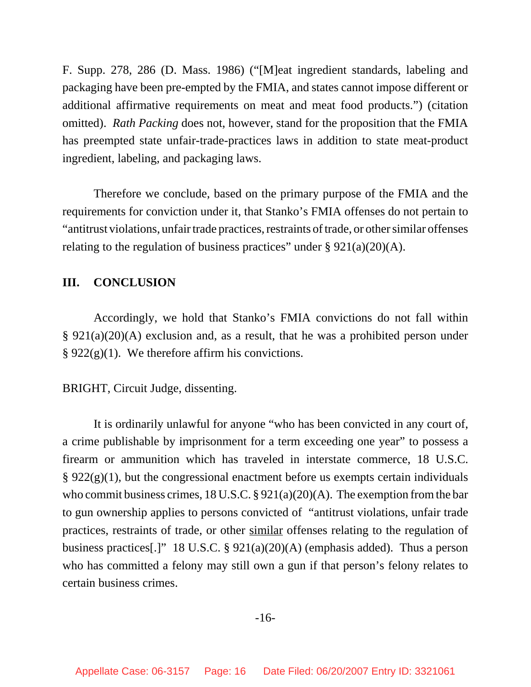F. Supp. 278, 286 (D. Mass. 1986) ("[M]eat ingredient standards, labeling and packaging have been pre-empted by the FMIA, and states cannot impose different or additional affirmative requirements on meat and meat food products.") (citation omitted). *Rath Packing* does not, however, stand for the proposition that the FMIA has preempted state unfair-trade-practices laws in addition to state meat-product ingredient, labeling, and packaging laws.

Therefore we conclude, based on the primary purpose of the FMIA and the requirements for conviction under it, that Stanko's FMIA offenses do not pertain to "antitrust violations, unfair trade practices, restraints of trade, or other similar offenses relating to the regulation of business practices" under  $\S 921(a)(20)(A)$ .

#### **III. CONCLUSION**

Accordingly, we hold that Stanko's FMIA convictions do not fall within § 921(a)(20)(A) exclusion and, as a result, that he was a prohibited person under  $§ 922(g)(1)$ . We therefore affirm his convictions.

BRIGHT, Circuit Judge, dissenting.

It is ordinarily unlawful for anyone "who has been convicted in any court of, a crime publishable by imprisonment for a term exceeding one year" to possess a firearm or ammunition which has traveled in interstate commerce, 18 U.S.C.  $\S 922(g)(1)$ , but the congressional enactment before us exempts certain individuals who commit business crimes, 18 U.S.C. § 921(a)(20)(A). The exemption from the bar to gun ownership applies to persons convicted of "antitrust violations, unfair trade practices, restraints of trade, or other similar offenses relating to the regulation of business practices[.]" 18 U.S.C. § 921(a)(20)(A) (emphasis added). Thus a person who has committed a felony may still own a gun if that person's felony relates to certain business crimes.

#### -16-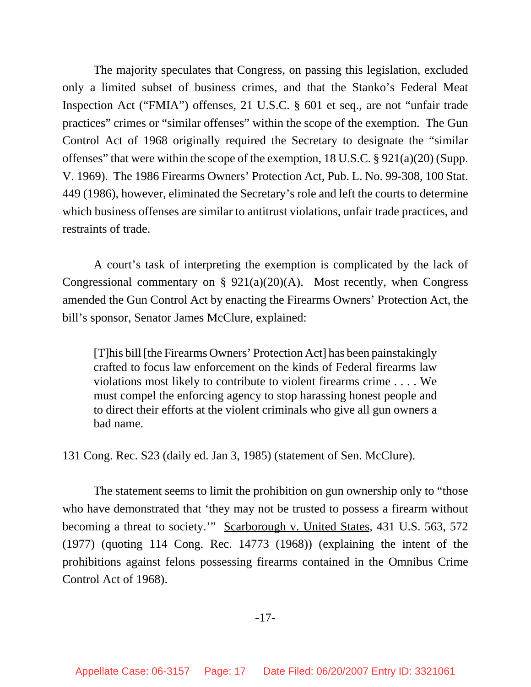The majority speculates that Congress, on passing this legislation, excluded only a limited subset of business crimes, and that the Stanko's Federal Meat Inspection Act ("FMIA") offenses, 21 U.S.C. § 601 et seq., are not "unfair trade practices" crimes or "similar offenses" within the scope of the exemption. The Gun Control Act of 1968 originally required the Secretary to designate the "similar offenses" that were within the scope of the exemption, 18 U.S.C. § 921(a)(20) (Supp. V. 1969). The 1986 Firearms Owners' Protection Act, Pub. L. No. 99-308, 100 Stat. 449 (1986), however, eliminated the Secretary's role and left the courts to determine which business offenses are similar to antitrust violations, unfair trade practices, and restraints of trade.

A court's task of interpreting the exemption is complicated by the lack of Congressional commentary on §  $921(a)(20)(A)$ . Most recently, when Congress amended the Gun Control Act by enacting the Firearms Owners' Protection Act, the bill's sponsor, Senator James McClure, explained:

[T]his bill [the Firearms Owners' Protection Act] has been painstakingly crafted to focus law enforcement on the kinds of Federal firearms law violations most likely to contribute to violent firearms crime . . . . We must compel the enforcing agency to stop harassing honest people and to direct their efforts at the violent criminals who give all gun owners a bad name.

131 Cong. Rec. S23 (daily ed. Jan 3, 1985) (statement of Sen. McClure).

The statement seems to limit the prohibition on gun ownership only to "those who have demonstrated that 'they may not be trusted to possess a firearm without becoming a threat to society.'" Scarborough v. United States, 431 U.S. 563, 572 (1977) (quoting 114 Cong. Rec. 14773 (1968)) (explaining the intent of the prohibitions against felons possessing firearms contained in the Omnibus Crime Control Act of 1968).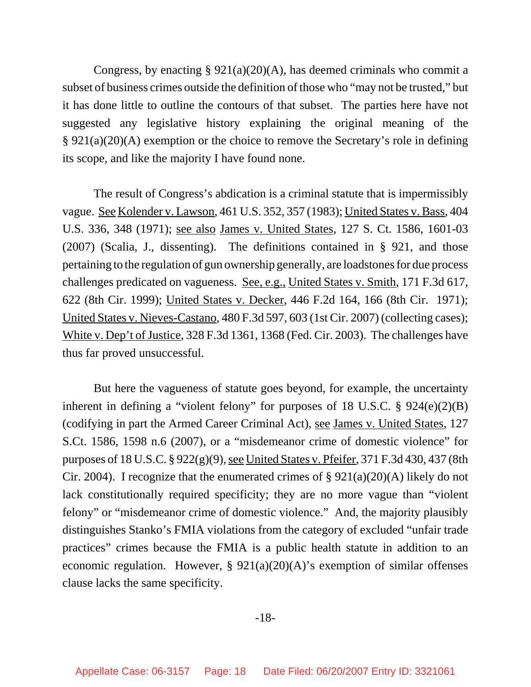Congress, by enacting  $\S 921(a)(20)(A)$ , has deemed criminals who commit a subset of business crimes outside the definition of those who "may not be trusted," but it has done little to outline the contours of that subset. The parties here have not suggested any legislative history explaining the original meaning of the § 921(a)(20)(A) exemption or the choice to remove the Secretary's role in defining its scope, and like the majority I have found none.

The result of Congress's abdication is a criminal statute that is impermissibly vague. See Kolender v. Lawson, 461 U.S. 352, 357 (1983); United States v. Bass, 404 U.S. 336, 348 (1971); see also James v. United States, 127 S. Ct. 1586, 1601-03 (2007) (Scalia, J., dissenting). The definitions contained in § 921, and those pertaining to the regulation of gun ownership generally, are loadstones for due process challenges predicated on vagueness. See, e.g., United States v. Smith, 171 F.3d 617, 622 (8th Cir. 1999); United States v. Decker, 446 F.2d 164, 166 (8th Cir. 1971); United States v. Nieves-Castano, 480 F.3d 597, 603 (1st Cir. 2007) (collecting cases); White v. Dep't of Justice, 328 F.3d 1361, 1368 (Fed. Cir. 2003). The challenges have thus far proved unsuccessful.

But here the vagueness of statute goes beyond, for example, the uncertainty inherent in defining a "violent felony" for purposes of 18 U.S.C. § 924(e)(2)(B) (codifying in part the Armed Career Criminal Act), see James v. United States, 127 S.Ct. 1586, 1598 n.6 (2007), or a "misdemeanor crime of domestic violence" for purposes of 18 U.S.C. § 922(g)(9), see United States v. Pfeifer, 371 F.3d 430, 437 (8th Cir. 2004). I recognize that the enumerated crimes of  $\S 921(a)(20)(A)$  likely do not lack constitutionally required specificity; they are no more vague than "violent felony" or "misdemeanor crime of domestic violence." And, the majority plausibly distinguishes Stanko's FMIA violations from the category of excluded "unfair trade practices" crimes because the FMIA is a public health statute in addition to an economic regulation. However,  $\S 921(a)(20)(A)$ 's exemption of similar offenses clause lacks the same specificity.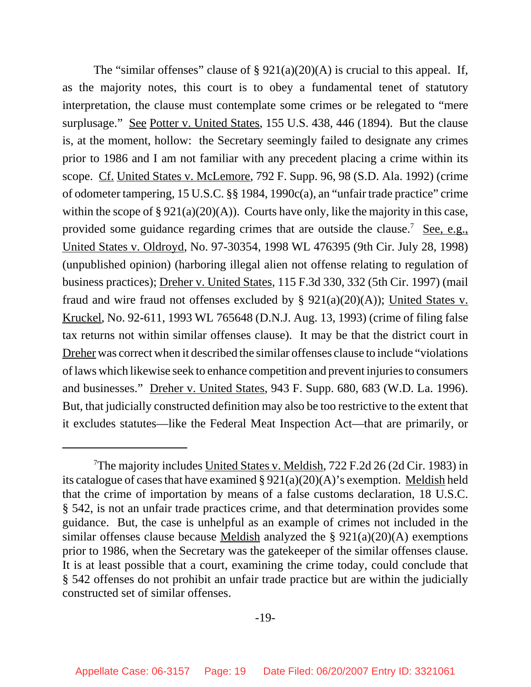The "similar offenses" clause of  $\S 921(a)(20)(A)$  is crucial to this appeal. If, as the majority notes, this court is to obey a fundamental tenet of statutory interpretation, the clause must contemplate some crimes or be relegated to "mere surplusage." See Potter v. United States, 155 U.S. 438, 446 (1894). But the clause is, at the moment, hollow: the Secretary seemingly failed to designate any crimes prior to 1986 and I am not familiar with any precedent placing a crime within its scope. Cf. United States v. McLemore, 792 F. Supp. 96, 98 (S.D. Ala. 1992) (crime of odometer tampering, 15 U.S.C. §§ 1984, 1990c(a), an "unfair trade practice" crime within the scope of  $\S 921(a)(20)(A)$ . Courts have only, like the majority in this case, provided some guidance regarding crimes that are outside the clause.<sup>7</sup> See, e.g., United States v. Oldroyd, No. 97-30354, 1998 WL 476395 (9th Cir. July 28, 1998) (unpublished opinion) (harboring illegal alien not offense relating to regulation of business practices); Dreher v. United States, 115 F.3d 330, 332 (5th Cir. 1997) (mail fraud and wire fraud not offenses excluded by §  $921(a)(20)(A)$ ; United States v. Kruckel, No. 92-611, 1993 WL 765648 (D.N.J. Aug. 13, 1993) (crime of filing false tax returns not within similar offenses clause). It may be that the district court in Dreher was correct when it described the similar offenses clause to include "violations of laws which likewise seek to enhance competition and prevent injuries to consumers and businesses." Dreher v. United States, 943 F. Supp. 680, 683 (W.D. La. 1996). But, that judicially constructed definition may also be too restrictive to the extent that it excludes statutes—like the Federal Meat Inspection Act—that are primarily, or

<sup>&</sup>lt;sup>7</sup>The majority includes United States v. Meldish, 722 F.2d 26 (2d Cir. 1983) in its catalogue of cases that have examined  $\S 921(a)(20)(A)$ 's exemption. Meldish held that the crime of importation by means of a false customs declaration, 18 U.S.C. § 542, is not an unfair trade practices crime, and that determination provides some guidance. But, the case is unhelpful as an example of crimes not included in the similar offenses clause because Meldish analyzed the §  $921(a)(20)(A)$  exemptions prior to 1986, when the Secretary was the gatekeeper of the similar offenses clause. It is at least possible that a court, examining the crime today, could conclude that § 542 offenses do not prohibit an unfair trade practice but are within the judicially constructed set of similar offenses.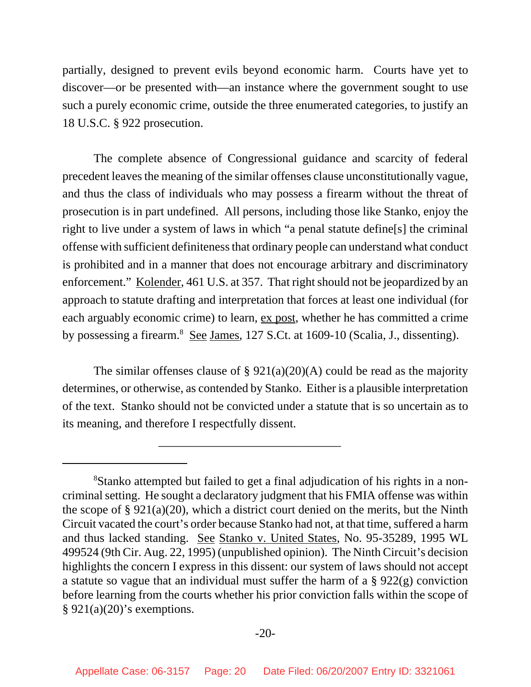partially, designed to prevent evils beyond economic harm. Courts have yet to discover—or be presented with—an instance where the government sought to use such a purely economic crime, outside the three enumerated categories, to justify an 18 U.S.C. § 922 prosecution.

The complete absence of Congressional guidance and scarcity of federal precedent leaves the meaning of the similar offenses clause unconstitutionally vague, and thus the class of individuals who may possess a firearm without the threat of prosecution is in part undefined. All persons, including those like Stanko, enjoy the right to live under a system of laws in which "a penal statute define[s] the criminal offense with sufficient definiteness that ordinary people can understand what conduct is prohibited and in a manner that does not encourage arbitrary and discriminatory enforcement." Kolender, 461 U.S. at 357. That right should not be jeopardized by an approach to statute drafting and interpretation that forces at least one individual (for each arguably economic crime) to learn, ex post, whether he has committed a crime by possessing a firearm.<sup>8</sup> See James, 127 S.Ct. at 1609-10 (Scalia, J., dissenting).

The similar offenses clause of  $\S 921(a)(20)(A)$  could be read as the majority determines, or otherwise, as contended by Stanko. Either is a plausible interpretation of the text. Stanko should not be convicted under a statute that is so uncertain as to its meaning, and therefore I respectfully dissent.

\_\_\_\_\_\_\_\_\_\_\_\_\_\_\_\_\_\_\_\_\_\_\_\_\_\_\_\_\_\_

<sup>&</sup>lt;sup>8</sup>Stanko attempted but failed to get a final adjudication of his rights in a noncriminal setting. He sought a declaratory judgment that his FMIA offense was within the scope of § 921(a)(20), which a district court denied on the merits, but the Ninth Circuit vacated the court's order because Stanko had not, at that time, suffered a harm and thus lacked standing. See Stanko v. United States, No. 95-35289, 1995 WL 499524 (9th Cir. Aug. 22, 1995) (unpublished opinion). The Ninth Circuit's decision highlights the concern I express in this dissent: our system of laws should not accept a statute so vague that an individual must suffer the harm of a § 922(g) conviction before learning from the courts whether his prior conviction falls within the scope of  $§ 921(a)(20)'$ s exemptions.